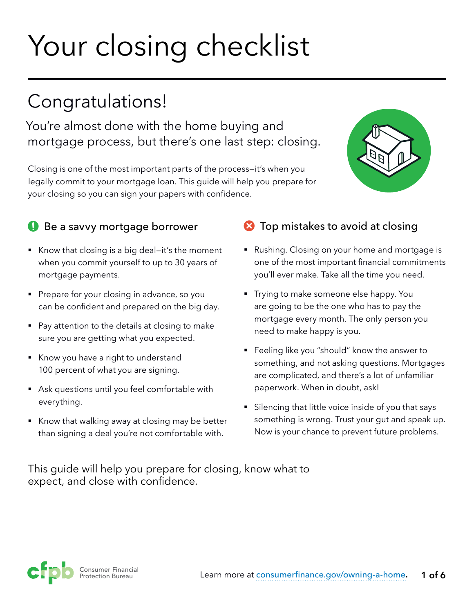# Your closing checklist

## Congratulations!

You're almost done with the home buying and mortgage process, but there's one last step: closing.

Closing is one of the most important parts of the process—it's when you legally commit to your mortgage loan. This guide will help you prepare for your closing so you can sign your papers with confidence.



#### Be a savvy mortgage borrower

- Know that closing is a big deal–it's the moment when you commit yourself to up to 30 years of mortgage payments.
- Prepare for your closing in advance, so you can be confident and prepared on the big day.
- Pay attention to the details at closing to make sure you are getting what you expected.
- § Know you have a right to understand 100 percent of what you are signing.
- Ask questions until you feel comfortable with everything.
- Know that walking away at closing may be better than signing a deal you're not comfortable with.

#### **2** Top mistakes to avoid at closing

- Rushing. Closing on your home and mortgage is one of the most important financial commitments you'll ever make. Take all the time you need.
- Trying to make someone else happy. You are going to be the one who has to pay the mortgage every month. The only person you need to make happy is you.
- Feeling like you "should" know the answer to something, and not asking questions. Mortgages are complicated, and there's a lot of unfamiliar paperwork. When in doubt, ask!
- Silencing that little voice inside of you that says something is wrong. Trust your gut and speak up. Now is your chance to prevent future problems.

This guide will help you prepare for closing, know what to expect, and close with confidence.

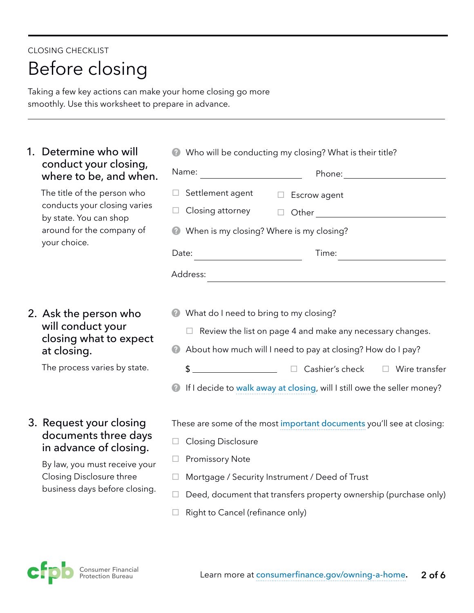## CLOSING CHECKLIST Before closing

Taking a few key actions can make your home closing go more smoothly. Use this worksheet to prepare in advance.

#### 1. Determine who will conduct your closing, where to be, and when.

The title of the person who conducts your closing varies by state. You can shop around for the company of your choice.

#### 2. Ask the person who will conduct your closing what to expect at closing.

The process varies by state.

#### 3. Request your closing documents three days in advance of closing.

By law, you must receive your Closing Disclosure three business days before closing.

| Name:                                              |                                                                                                                       |
|----------------------------------------------------|-----------------------------------------------------------------------------------------------------------------------|
| Settlement agent<br>H                              | Escrow agent                                                                                                          |
| Closing attorney                                   |                                                                                                                       |
|                                                    | When is my closing? Where is my closing?                                                                              |
| Date:<br>the control of the control of the control | Time:                                                                                                                 |
| Address:                                           |                                                                                                                       |
|                                                    | <u> 1989 - Andrea Barbara, margaret e populazion del control del control del control del control de la control de</u> |
|                                                    |                                                                                                                       |
| What do I need to bring to my closing?             |                                                                                                                       |
|                                                    | Review the list on page 4 and make any necessary changes.                                                             |
| Ø                                                  | About how much will I need to pay at closing? How do I pay?                                                           |
| \$                                                 | <u>Net Cashier's</u> check Delayer Entertainment                                                                      |

These are some of the most [important documents](http://www.consumerfinance.gov/owning-a-home/resources/mortgage_closing_forms.pdf) you'll see at closing:

- $\Box$  Closing Disclosure
- $\Box$  Promissory Note
- $\Box$  Mortgage / Security Instrument / Deed of Trust
- $\Box$  Deed, document that transfers property ownership (purchase only)
- $\Box$  Right to Cancel (refinance only)

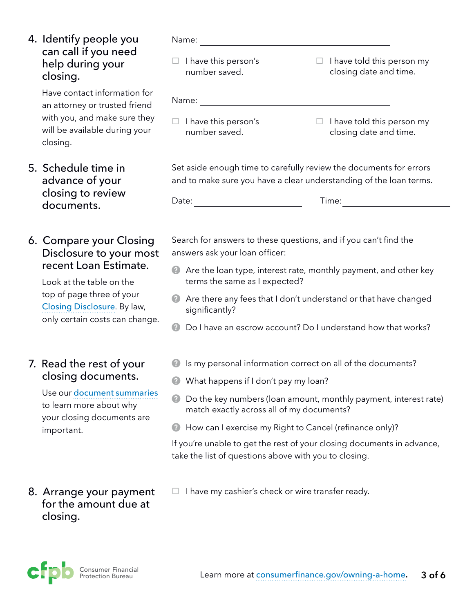4. Identify people you can call if you need help during your closing.

> Have contact information for an attorney or trusted friend with you, and make sure they will be available during your closing.

#### 5. Schedule time in advance of your closing to review documents.

#### 6. Compare your Closing Disclosure to your most recent Loan Estimate.

Look at the table on the top of page three of your Closing [Disclosure](http://www.consumerfinance.gov/owning-a-home/closing-disclosure). By law, only certain costs can change.

#### 7. Read the rest of your closing documents.

Use our [document summaries](http://www.consumerfinance.gov/owning-a-home/resources/mortgage_closing_forms.pdf) to learn more about why your closing documents are important.

#### 8. Arrange your payment for the amount due at closing.

Name:

 $\Box$  I have this person's number saved.

 $\Box$  I have told this person my closing date and time.

| Name: |
|-------|
|-------|

- $\Box$  I have this person's number saved.
- $\Box$  I have told this person my closing date and time.

Set aside enough time to carefully review the documents for errors and to make sure you have a clear understanding of the loan terms.

Time:

Search for answers to these questions, and if you can't find the answers ask your loan officer:

- Are the loan type, interest rate, monthly payment, and other key terms the same as I expected?
- Are there any fees that I don't understand or that have changed significantly?
- Do I have an escrow account? Do I understand how that works?
- **2** Is my personal information correct on all of the documents?
- **2** What happens if I don't pay my loan?
- Do the key numbers (loan amount, monthly payment, interest rate) match exactly across all of my documents?
- **B** How can I exercise my Right to Cancel (refinance only)?

If you're unable to get the rest of your closing documents in advance, take the list of questions above with you to closing.

 $\Box$  I have my cashier's check or wire transfer ready.

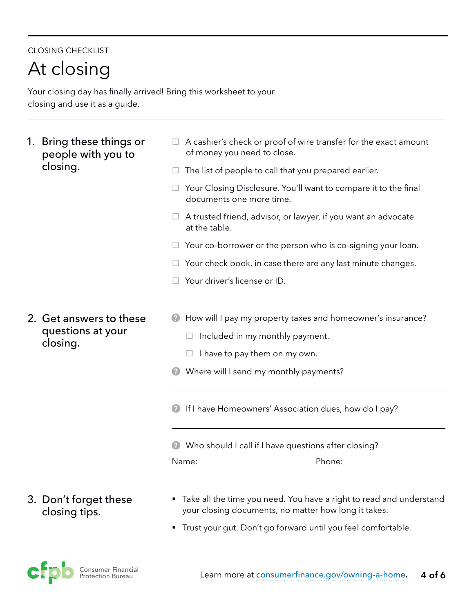#### CLOSING CHECKLIST

At closing

Your closing day has finally arrived! Bring this worksheet to your closing and use it as a guide.

- 1. Bring these things or people with you to closing.
- $\Box$  A cashier's check or proof of wire transfer for the exact amount of money you need to close.
- $\Box$  The list of people to call that you prepared earlier.
- $\Box$  Your Closing Disclosure. You'll want to compare it to the final documents one more time.
- $\Box$  A trusted friend, advisor, or lawyer, if you want an advocate at the table.
- $\Box$  Your co-borrower or the person who is co-signing your loan.
- $\Box$  Your check book, in case there are any last minute changes.
- $\Box$  Your driver's license or ID.
- 2. Get answers to these questions at your closing.
- **E** How will I pay my property taxes and homeowner's insurance?
	- $\Box$  Included in my monthly payment.
	- $\Box$  I have to pay them on my own.
- **Where will I send my monthly payments?**
- **2** If I have Homeowners' Association dues, how do I pay?

Who should I call if I have questions after closing?

Name:

Phone: when the state of the state of the state of the state of the state of the state of the state of the state of the state of the state of the state of the state of the state of the state of the state of the state of th

#### 3. Don't forget these closing tips.

- Take all the time you need. You have a right to read and understand your closing documents, no matter how long it takes.
- Trust your gut. Don't go forward until you feel comfortable.

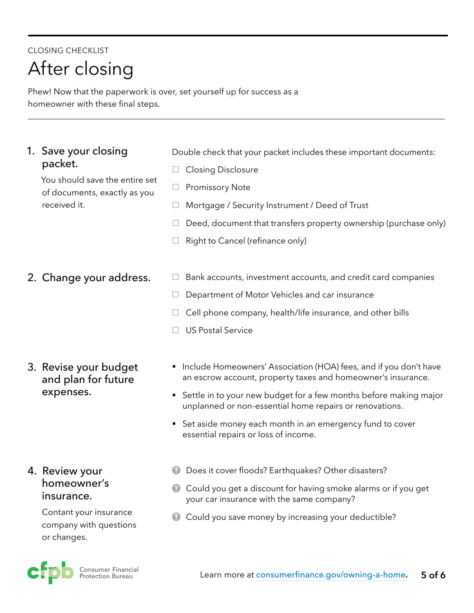### CLOSING CHECKLIST After closing

Phew! Now that the paperwork is over, set yourself up for success as a homeowner with these final steps.

#### 1. Save your closing packet.

You should save the entire set of documents, exactly as you received it.

2. Change your address.

3. Revise your budget and plan for future expenses.

#### 4. Review your homeowner's insurance.

Contant your insurance company with questions or changes.



Double check that your packet includes these important documents:

- $\Box$  Closing Disclosure
- $\Box$  Promissory Note
- $\Box$  Mortgage / Security Instrument / Deed of Trust
- $\Box$  Deed, document that transfers property ownership (purchase only)
- $\Box$  Right to Cancel (refinance only)
- $\Box$  Bank accounts, investment accounts, and credit card companies
- $\Box$  Department of Motor Vehicles and car insurance
- $\Box$  Cell phone company, health/life insurance, and other bills
- $\Box$  US Postal Service
- Include Homeowners' Association (HOA) fees, and if you don't have an escrow account, property taxes and homeowner's insurance.
- Settle in to your new budget for a few months before making major unplanned or non-essential home repairs or renovations.
- Set aside money each month in an emergency fund to cover essential repairs or loss of income.
- **2** Does it cover floods? Earthquakes? Other disasters?
- **Could you get a discount for having smoke alarms or if you get** your car insurance with the same company?
- **Could you save money by increasing your deductible?**